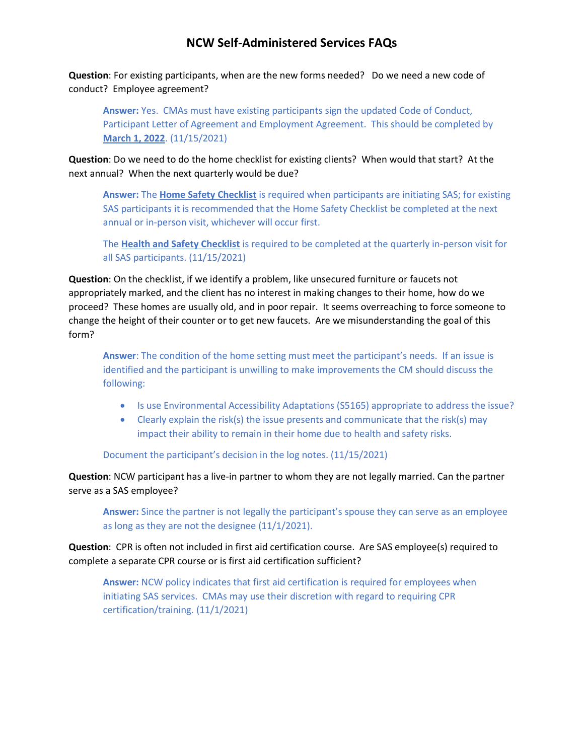## **NCW Self-Administered Services FAQs**

**Question**: For existing participants, when are the new forms needed? Do we need a new code of conduct? Employee agreement?

**Answer:** Yes. CMAs must have existing participants sign the updated Code of Conduct, Participant Letter of Agreement and Employment Agreement. This should be completed by **March 1, 2022**. (11/15/2021)

**Question**: Do we need to do the home checklist for existing clients? When would that start? At the next annual? When the next quarterly would be due?

**Answer:** The **Home Safety Checklist** is required when participants are initiating SAS; for existing SAS participants it is recommended that the Home Safety Checklist be completed at the next annual or in-person visit, whichever will occur first.

The **Health and Safety Checklist** is required to be completed at the quarterly in-person visit for all SAS participants. (11/15/2021)

**Question**: On the checklist, if we identify a problem, like unsecured furniture or faucets not appropriately marked, and the client has no interest in making changes to their home, how do we proceed? These homes are usually old, and in poor repair. It seems overreaching to force someone to change the height of their counter or to get new faucets. Are we misunderstanding the goal of this form?

**Answer**: The condition of the home setting must meet the participant's needs. If an issue is identified and the participant is unwilling to make improvements the CM should discuss the following:

- Is use Environmental Accessibility Adaptations (S5165) appropriate to address the issue?
- Clearly explain the risk(s) the issue presents and communicate that the risk(s) may impact their ability to remain in their home due to health and safety risks.

Document the participant's decision in the log notes. (11/15/2021)

**Question**: NCW participant has a live-in partner to whom they are not legally married. Can the partner serve as a SAS employee?

**Answer:** Since the partner is not legally the participant's spouse they can serve as an employee as long as they are not the designee (11/1/2021).

**Question**: CPR is often not included in first aid certification course. Are SAS employee(s) required to complete a separate CPR course or is first aid certification sufficient?

**Answer:** NCW policy indicates that first aid certification is required for employees when initiating SAS services. CMAs may use their discretion with regard to requiring CPR certification/training. (11/1/2021)